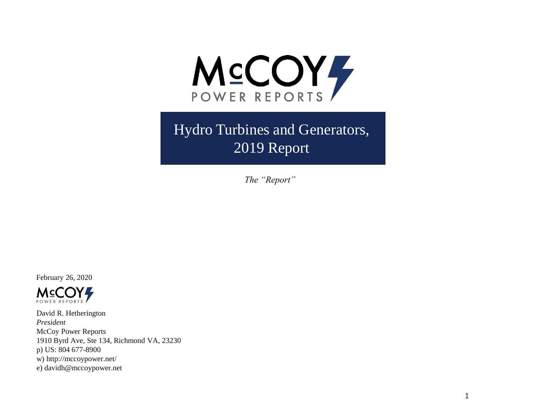

Hydro Turbines and Generators, 2019 Report

*The "Report"*

February 26, 2020



David R. Hetherington *President* McCoy Power Reports 1910 Byrd Ave, Ste 134, Richmond VA, 23230 p) US: 804 677-8900 w) http://mccoypower.net/ e) davidh@mccoypower.net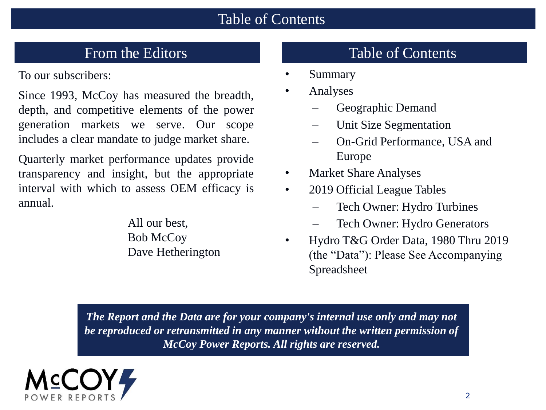#### Table of Contents

To our subscribers:

Since 1993, McCoy has measured the breadth, depth, and competitive elements of the power generation markets we serve. Our scope includes a clear mandate to judge market share.

Quarterly market performance updates provide transparency and insight, but the appropriate interval with which to assess OEM efficacy is annual.

> All our best, Bob McCoy Dave Hetherington

## From the Editors Table of Contents

- **Summary**
- Analyses
	- Geographic Demand
	- Unit Size Segmentation
	- On-Grid Performance, USA and Europe
- Market Share Analyses
- 2019 Official League Tables
	- Tech Owner: Hydro Turbines
	- Tech Owner: Hydro Generators
- Hydro T&G Order Data, 1980 Thru 2019 (the "Data"): Please See Accompanying Spreadsheet

*The Report and the Data are for your company's internal use only and may not be reproduced or retransmitted in any manner without the written permission of McCoy Power Reports. All rights are reserved.*

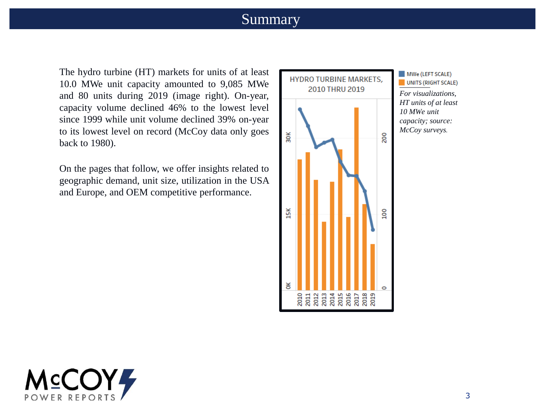#### Summary

The hydro turbine (HT) markets for units of at least 10.0 MWe unit capacity amounted to 9,085 MWe and 80 units during 2019 (image right). On-year, capacity volume declined 46% to the lowest level since 1999 while unit volume declined 39% on-year to its lowest level on record (McCoy data only goes back to 1980).

On the pages that follow, we offer insights related to geographic demand, unit size, utilization in the USA and Europe, and OEM competitive performance.



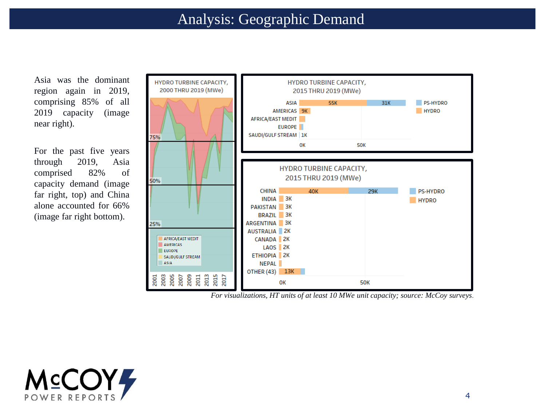Asia was the dominant region again in 2019, comprising 85% of all 2019 capacity (image near right).

For the past five years through 2019, Asia comprised 82% of capacity demand (image far right, top) and China alone accounted for 66% (image far right bottom).



*For visualizations, HT units of at least 10 MWe unit capacity; source: McCoy surveys.*

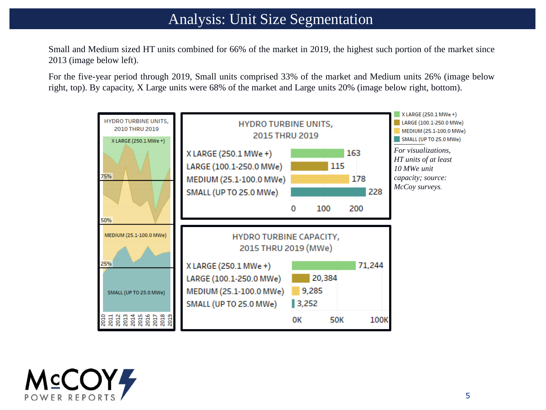### Analysis: Unit Size Segmentation

Small and Medium sized HT units combined for 66% of the market in 2019, the highest such portion of the market since 2013 (image below left).

For the five-year period through 2019, Small units comprised 33% of the market and Medium units 26% (image below right, top). By capacity, X Large units were 68% of the market and Large units 20% (image below right, bottom).



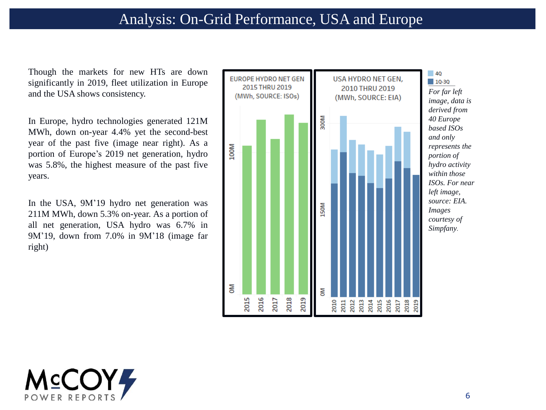Though the markets for new HTs are down significantly in 2019, fleet utilization in Europe and the USA shows consistency.

In Europe, hydro technologies generated 121M MWh, down on-year 4.4% yet the second-best year of the past five (image near right). As a portion of Europe's 2019 net generation, hydro was 5.8%, the highest measure of the past five years.

In the USA, 9M'19 hydro net generation was 211M MWh, down 5.3% on-year. As a portion of all net generation, USA hydro was 6.7% in 9M'19, down from 7.0% in 9M'18 (image far right)



**MCCOY4** POWER REPOR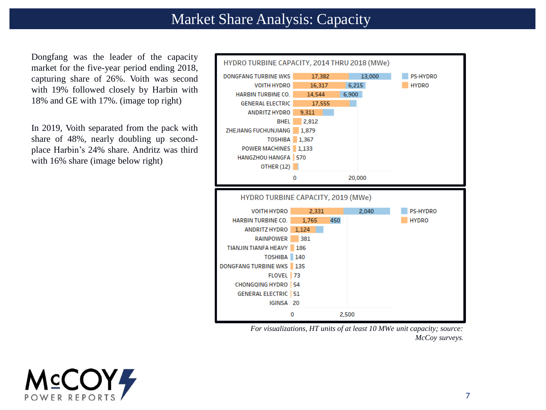#### Market Share Analysis: Capacity

Dongfang was the leader of the capacity market for the five-year period ending 2018, capturing share of 26%. Voith was second with 19% followed closely by Harbin with 18% and GE with 17%. (image top right)

In 2019, Voith separated from the pack with share of 48%, nearly doubling up secondplace Harbin's 24% share. Andritz was third with 16% share (image below right)



*For visualizations, HT units of at least 10 MWe unit capacity; source: McCoy surveys.*

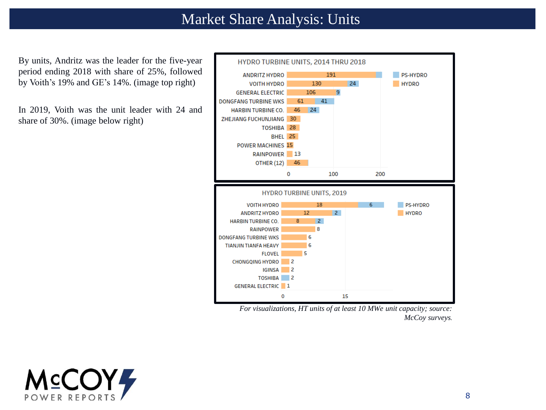### Market Share Analysis: Units

By units, Andritz was the leader for the five-year period ending 2018 with share of 25%, followed by Voith's 19% and GE's 14%. (image top right)

In 2019, Voith was the unit leader with 24 and share of 30%. (image below right)



*For visualizations, HT units of at least 10 MWe unit capacity; source: McCoy surveys.*

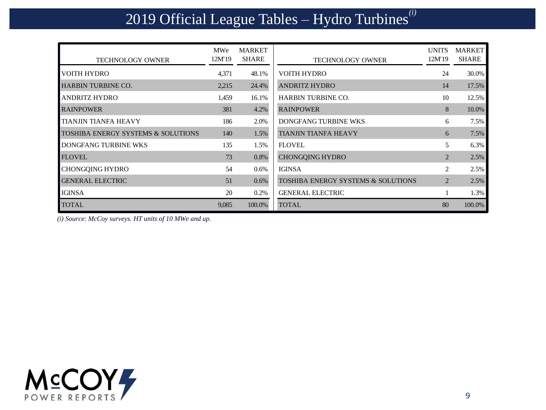# 2019 Official League Tables – Hydro Turbines*(i)*

| <b>TECHNOLOGY OWNER</b>                       | MWe<br>12M'19 | MARKET<br><b>SHARE</b> | <b>TECHNOLOGY OWNER</b>                       | <b>UNITS</b><br>12M'19 | <b>MARKET</b><br>SHARE |
|-----------------------------------------------|---------------|------------------------|-----------------------------------------------|------------------------|------------------------|
| VOITH HYDRO                                   | 4,371         | 48.1%                  | <b>VOITH HYDRO</b>                            | 24                     | 30.0%                  |
| <b>HARBIN TURBINE CO.</b>                     | 2,215         | 24.4%                  | <b>ANDRITZ HYDRO</b>                          | 14                     | 17.5%                  |
| <b>ANDRITZ HYDRO</b>                          | 1,459         | 16.1%                  | <b>HARBIN TURBINE CO.</b>                     | 10                     | 12.5%                  |
| <b>RAINPOWER</b>                              | 381           | 4.2%                   | <b>RAINPOWER</b>                              | 8                      | 10.0%                  |
| <b>TIANJIN TIANFA HEAVY</b>                   | 186           | 2.0%                   | DONGFANG TURBINE WKS                          | 6                      | 7.5%                   |
| <b>TOSHIBA ENERGY SYSTEMS &amp; SOLUTIONS</b> | 140           | 1.5%                   | <b>TIANJIN TIANFA HEAVY</b>                   | 6                      | 7.5%                   |
| DONGFANG TURBINE WKS                          | 135           | 1.5%                   | <b>FLOVEL</b>                                 | 5                      | 6.3%                   |
| <b>FLOVEL</b>                                 | 73            | 0.8%                   | <b>CHONGQING HYDRO</b>                        | $\overline{2}$         | 2.5%                   |
| <b>CHONGQING HYDRO</b>                        | 54            | 0.6%                   | <b>IGINSA</b>                                 | $\overline{2}$         | 2.5%                   |
| <b>GENERAL ELECTRIC</b>                       | 51            | $0.6\%$                | <b>TOSHIBA ENERGY SYSTEMS &amp; SOLUTIONS</b> | $\overline{2}$         | 2.5%                   |
| <b>IGINSA</b>                                 | 20            | 0.2%                   | <b>GENERAL ELECTRIC</b>                       |                        | 1.3%                   |
| <b>TOTAL</b>                                  | 9,085         | 100.0%                 | <b>TOTAL</b>                                  | 80                     | 100.0%                 |

*(i) Source: McCoy surveys. HT units of 10 MWe and up.*